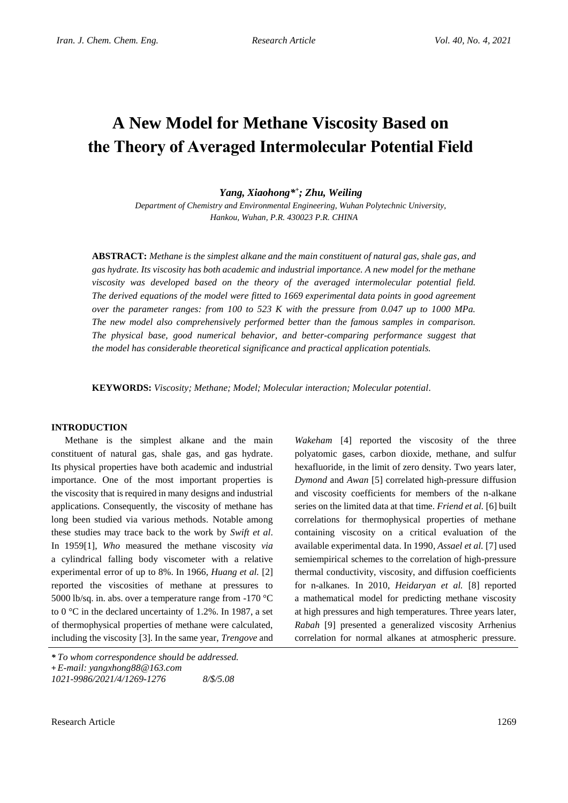# **A New Model for Methane Viscosity Based on the Theory of Averaged Intermolecular Potential Field**

*Yang, Xiaohong\* + ; Zhu, Weiling*

*Department of Chemistry and Environmental Engineering, Wuhan Polytechnic University, Hankou, Wuhan, P.R. 430023 P.R. CHINA*

**ABSTRACT:** *Methane is the simplest alkane and the main constituent of natural gas, shale gas, and gas hydrate. Its viscosity has both academic and industrial importance. A new model for the methane viscosity was developed based on the theory of the averaged intermolecular potential field. The derived equations of the model were fitted to 1669 experimental data points in good agreement over the parameter ranges: from 100 to 523 K with the pressure from 0.047 up to 1000 MPa. The new model also comprehensively performed better than the famous samples in comparison. The physical base, good numerical behavior, and better-comparing performance suggest that the model has considerable theoretical significance and practical application potentials.*

**KEYWORDS:** *Viscosity; Methane; Model; Molecular interaction; Molecular potential.*

## **INTRODUCTION**

Methane is the simplest alkane and the main constituent of natural gas, shale gas, and gas hydrate. Its physical properties have both academic and industrial importance. One of the most important properties is the viscosity that is required in many designs and industrial applications. Consequently, the viscosity of methane has long been studied via various methods. Notable among these studies may trace back to the work by *Swift et al*. In 1959[1], *Who* measured the methane viscosity *via* a cylindrical falling body viscometer with a relative experimental error of up to 8%. In 1966, *Huang et al.* [2] reported the viscosities of methane at pressures to 5000 lb/sq. in. abs. over a temperature range from -170 °C to 0 °C in the declared uncertainty of 1.2%. In 1987, a set of thermophysical properties of methane were calculated, including the viscosity [3]. In the same year, *Trengove* and

*Wakeham* [4] reported the viscosity of the three polyatomic gases, carbon dioxide, methane, and sulfur hexafluoride, in the limit of zero density. Two years later, *Dymond* and *Awan* [5] correlated high-pressure diffusion and viscosity coefficients for members of the n-alkane series on the limited data at that time. *Friend et al.* [6] built correlations for thermophysical properties of methane containing viscosity on a critical evaluation of the available experimental data. In 1990*, Assael et al.* [7] used semiempirical schemes to the correlation of high-pressure thermal conductivity, viscosity, and diffusion coefficients for n-alkanes. In 2010, *Heidaryan et al.* [8] reported a mathematical model for predicting methane viscosity at high pressures and high temperatures. Three years later, *Rabah* [9] presented a generalized viscosity Arrhenius correlation for normal alkanes at atmospheric pressure.

*<sup>\*</sup> To whom correspondence should be addressed.* **+** *E-mail: yangxhong88@163.com*

*<sup>1021-9986/2021/4/1269-1276 8/\$/5.08</sup>*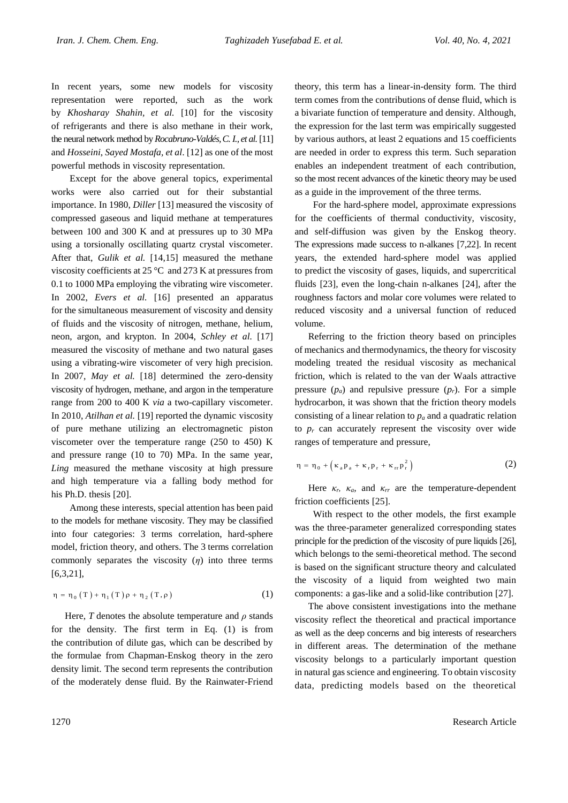In recent years, some new models for viscosity representation were reported, such as the work by *Khosharay Shahin, et al.* [10] for the viscosity of refrigerants and there is also methane in their work, the neural network method by *Rocabruno-Valdés, C. I., et al.*[11] and *Hosseini*, *Sayed Mostafa, et al*. [12] as one of the most powerful methods in viscosity representation.

 Except for the above general topics, experimental works were also carried out for their substantial importance. In 1980, *Diller* [13] measured the viscosity of compressed gaseous and liquid methane at temperatures between 100 and 300 K and at pressures up to 30 MPa using a torsionally oscillating quartz crystal viscometer. After that, *Gulik et al.* [14,15] measured the methane viscosity coefficients at 25 °C and 273 K at pressures from 0.1 to 1000 MPa employing the vibrating wire viscometer. In 2002, *Evers et al.* [16] presented an apparatus for the simultaneous measurement of viscosity and density of fluids and the viscosity of nitrogen, methane, helium, neon, argon, and krypton. In 2004, *Schley et al.* [17] measured the viscosity of methane and two natural gases using a vibrating-wire viscometer of very high precision. In 2007, *May et al.* [18] determined the zero-density viscosity of hydrogen, methane, and argon in the temperature range from 200 to 400 K *via* a two-capillary viscometer. In 2010, *Atilhan et al.* [19] reported the dynamic viscosity of pure methane utilizing an electromagnetic piston viscometer over the temperature range (250 to 450) K and pressure range (10 to 70) MPa. In the same year, *Ling* measured the methane viscosity at high pressure and high temperature via a falling body method for his Ph.D. thesis [20].

 Among these interests, special attention has been paid to the models for methane viscosity. They may be classified into four categories: 3 terms correlation, hard-sphere model, friction theory, and others. The 3 terms correlation commonly separates the viscosity  $(\eta)$  into three terms [6,3,21],

$$
\eta = \eta_0(T) + \eta_1(T)\rho + \eta_2(T,\rho)
$$
 (1)

Here, *T* denotes the absolute temperature and  $\rho$  stands for the density. The first term in Eq. (1) is from the contribution of dilute gas, which can be described by the formulae from Chapman-Enskog theory in the zero density limit. The second term represents the contribution of the moderately dense fluid. By the Rainwater-Friend theory, this term has a linear-in-density form. The third term comes from the contributions of dense fluid, which is a bivariate function of temperature and density. Although, the expression for the last term was empirically suggested by various authors, at least 2 equations and 15 coefficients are needed in order to express this term. Such separation enables an independent treatment of each contribution, so the most recent advances of the kinetic theory may be used as a guide in the improvement of the three terms.

 For the hard-sphere model, approximate expressions for the coefficients of thermal conductivity, viscosity, and self-diffusion was given by the Enskog theory. The expressions made success to n-alkanes [7,22]. In recent years, the extended hard-sphere model was applied to predict the viscosity of gases, liquids, and supercritical fluids [23], even the long-chain n-alkanes [24], after the roughness factors and molar core volumes were related to reduced viscosity and a universal function of reduced volume.

Referring to the friction theory based on principles of mechanics and thermodynamics, the theory for viscosity modeling treated the residual viscosity as mechanical friction, which is related to the van der Waals attractive pressure  $(p_a)$  and repulsive pressure  $(p_r)$ . For a simple hydrocarbon, it was shown that the friction theory models consisting of a linear relation to  $p_a$  and a quadratic relation to  $p_r$  can accurately represent the viscosity over wide ranges of temperature and pressure,

$$
\eta = \eta_0 + \left(\kappa_a p_a + \kappa_r p_r + \kappa_{rr} p_r^2\right) \tag{2}
$$

Here  $\kappa_r$ ,  $\kappa_a$ , and  $\kappa_{rr}$  are the temperature-dependent friction coefficients [25].

 With respect to the other models, the first example was the three-parameter generalized corresponding states principle for the prediction of the viscosity of pure liquids [26], which belongs to the semi-theoretical method. The second is based on the significant structure theory and calculated the viscosity of a liquid from weighted two main components: a gas-like and a solid-like contribution [27].

The above consistent investigations into the methane viscosity reflect the theoretical and practical importance as well as the deep concerns and big interests of researchers in different areas. The determination of the methane viscosity belongs to a particularly important question in natural gas science and engineering. To obtain viscosity data, predicting models based on the theoretical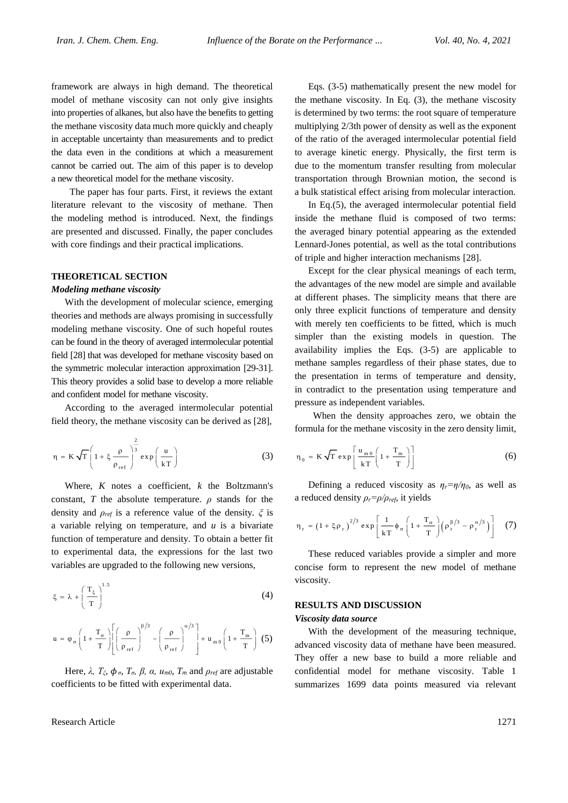framework are always in high demand. The theoretical model of methane viscosity can not only give insights into properties of alkanes, but also have the benefits to getting the methane viscosity data much more quickly and cheaply in acceptable uncertainty than measurements and to predict the data even in the conditions at which a measurement cannot be carried out. The aim of this paper is to develop a new theoretical model for the methane viscosity.

 The paper has four parts. First, it reviews the extant literature relevant to the viscosity of methane. Then the modeling method is introduced. Next, the findings are presented and discussed. Finally, the paper concludes with core findings and their practical implications.

## **THEORETICAL SECTION**

#### *Modeling methane viscosity*

With the development of molecular science, emerging theories and methods are always promising in successfully modeling methane viscosity. One of such hopeful routes can be found in the theory of averaged intermolecular potential field [28] that was developed for methane viscosity based on the symmetric molecular interaction approximation [29-31]. This theory provides a solid base to develop a more reliable and confident model for methane viscosity.

According to the averaged intermolecular potential field theory, the methane viscosity can be derived as [28],

$$
\eta = \kappa \sqrt{T} \left( 1 + \xi \frac{\rho}{\rho_{ref}} \right)^{\frac{2}{3}} \exp\left(\frac{u}{kT}\right)
$$
 (3)

Where, *K* notes a coefficient, *k* the Boltzmann's constant, *T* the absolute temperature.  $\rho$  stands for the density and *ρref* is a reference value of the density. *ξ* is a variable relying on temperature, and *u* is a bivariate function of temperature and density. To obtain a better fit to experimental data, the expressions for the last two variables are upgraded to the following new versions,

$$
\xi = \lambda + \left(\frac{T_{\xi}}{T}\right)^{1.5} \tag{4}
$$

$$
u = \varphi_{\sigma} \left( 1 + \frac{T_{\sigma}}{T} \right) \left[ \left( \frac{\rho}{\rho_{\text{ref}}} \right)^{\beta/3} - \left( \frac{\rho}{\rho_{\text{ref}}} \right)^{\alpha/3} \right] + u_{m0} \left( 1 + \frac{T_{m}}{T} \right) (5)
$$

Here,  $λ$ ,  $T_{\xi}$ ,  $φ$ <sub>*σ*</sub>,  $T_{\sigma}$ ,  $β$ ,  $α$ ,  $u_{m0}$ ,  $T_m$  and  $ρ_{ref}$  are adjustable coefficients to be fitted with experimental data.

Research Article 1271

Eqs. (3-5) mathematically present the new model for the methane viscosity. In Eq. (3), the methane viscosity is determined by two terms: the root square of temperature multiplying 2/3th power of density as well as the exponent of the ratio of the averaged intermolecular potential field to average kinetic energy. Physically, the first term is due to the momentum transfer resulting from molecular transportation through Brownian motion, the second is a bulk statistical effect arising from molecular interaction.

In Eq.(5), the averaged intermolecular potential field inside the methane fluid is composed of two terms: the averaged binary potential appearing as the extended Lennard-Jones potential, as well as the total contributions of triple and higher interaction mechanisms [28].

Except for the clear physical meanings of each term, the advantages of the new model are simple and available at different phases. The simplicity means that there are only three explicit functions of temperature and density with merely ten coefficients to be fitted, which is much simpler than the existing models in question. The availability implies the Eqs. (3-5) are applicable to methane samples regardless of their phase states, due to the presentation in terms of temperature and density, in contradict to the presentation using temperature and pressure as independent variables.

 When the density approaches zero, we obtain the formula for the methane viscosity in the zero density limit,

$$
\eta_0 = \kappa \sqrt{T} \exp\left[\frac{u_{m0}}{kT} \left(1 + \frac{T_m}{T}\right)\right]
$$
 (6)

Defining a reduced viscosity as  $\eta_r = \eta/\eta_0$ , as well as a reduced density  $\rho_r = \rho / \rho_{ref}$ , it yields

$$
\eta_r = \left(1 + \xi \rho_r\right)^{2/3} \exp\left[\frac{1}{kT} \phi_\sigma \left(1 + \frac{T_\sigma}{T}\right) \left(\rho_r^{\beta/3} - \rho_r^{\alpha/3}\right)\right] \quad (7)
$$

These reduced variables provide a simpler and more concise form to represent the new model of methane viscosity.

## **RESULTS AND DISCUSSION**

#### *Viscosity data source*

With the development of the measuring technique, advanced viscosity data of methane have been measured. They offer a new base to build a more reliable and confidential model for methane viscosity. Table 1 summarizes 1699 data points measured via relevant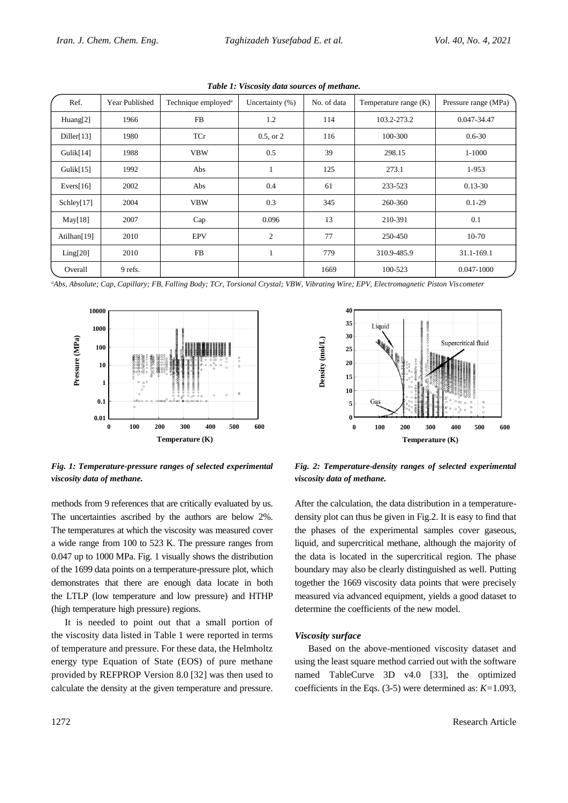| Ref.         | Year Published | Technique employed <sup>a</sup> | Uncertainty $(\%)$ | No. of data | Temperature range $(K)$ | Pressure range (MPa) |
|--------------|----------------|---------------------------------|--------------------|-------------|-------------------------|----------------------|
| Huang[2]     | 1966           | FB                              | 1.2                | 114         | 103.2-273.2             | 0.047-34.47          |
| Diller[13]   | 1980           | TCr                             | $0.5$ , or $2$     | 116         | 100-300                 | $0.6 - 30$           |
| Gulik $[14]$ | 1988           | <b>VBW</b>                      | 0.5                | 39          | 298.15                  | 1-1000               |
| Gulik $[15]$ | 1992           | Abs                             | -1                 | 125         | 273.1                   | 1-953                |
| Evers $[16]$ | 2002           | Abs                             | 0.4                | 61          | 233-523                 | $0.13 - 30$          |
| Schley[17]   | 2004           | <b>VBW</b>                      | 0.3                | 345         | 260-360                 | $0.1 - 29$           |
| May[18]      | 2007           | Cap                             | 0.096              | 13          | 210-391                 | 0.1                  |
| Atilhan[19]  | 2010           | <b>EPV</b>                      | $\overline{2}$     | 77          | 250-450                 | $10-70$              |
| Ling[20]     | 2010           | FB                              | -1                 | 779         | 310.9-485.9             | 31.1-169.1           |
| Overall      | 9 refs.        |                                 |                    | 1669        | 100-523                 | 0.047-1000           |

*Table 1: Viscosity data sources of methane.*

*<sup>a</sup>Abs, Absolute; Cap, Capillary; FB, Falling Body; TCr, Torsional Crystal; VBW, Vibrating Wire; EPV, Electromagnetic Piston Viscometer*



*Fig. 1: Temperature-pressure ranges of selected experimental viscosity data of methane.*

methods from 9 references that are critically evaluated by us. The uncertainties ascribed by the authors are below 2%. The temperatures at which the viscosity was measured cover a wide range from 100 to 523 K. The pressure ranges from 0.047 up to 1000 MPa. Fig. 1 visually shows the distribution of the 1699 data points on a temperature-pressure plot, which demonstrates that there are enough data locate in both the LTLP (low temperature and low pressure) and HTHP (high temperature high pressure) regions.

It is needed to point out that a small portion of the viscosity data listed in Table 1 were reported in terms of temperature and pressure. For these data, the Helmholtz energy type Equation of State (EOS) of pure methane provided by REFPROP Version 8.0 [32] was then used to calculate the density at the given temperature and pressure.



*Fig. 2: Temperature-density ranges of selected experimental viscosity data of methane.*

After the calculation, the data distribution in a temperaturedensity plot can thus be given in Fig.2. It is easy to find that the phases of the experimental samples cover gaseous, liquid, and supercritical methane, although the majority of the data is located in the supercritical region. The phase boundary may also be clearly distinguished as well. Putting together the 1669 viscosity data points that were precisely measured via advanced equipment, yields a good dataset to determine the coefficients of the new model.

### *Viscosity surface*

Based on the above-mentioned viscosity dataset and using the least square method carried out with the software named TableCurve 3D v4.0 [33], the optimized coefficients in the Eqs. (3-5) were determined as: *K=*1.093*,*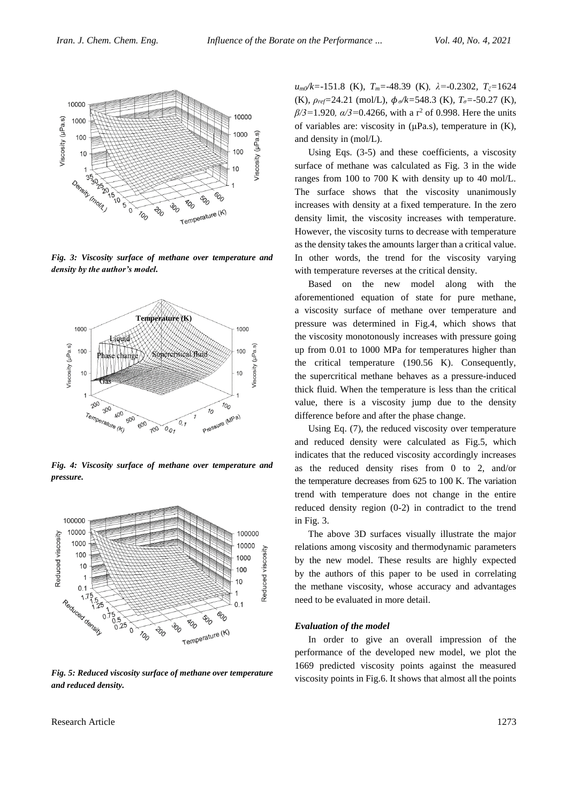

*Fig. 3: Viscosity surface of methane over temperature and density by the author's model.*



*Fig. 4: Viscosity surface of methane over temperature and pressure.*



*Fig. 5: Reduced viscosity surface of methane over temperature and reduced density.*

Research Article 1273

*um0/k=*-151.8 (K), *Tm=*-48.39 (K)*, λ=*-0.2302*, Tξ=*1624 (K), *ρref=*24.21 (mol/L), *ϕσ/k=*548.3 (K)*, Tσ=*-50.27 (K)*, β/3*=1.920, *α/3*=0.4266, with a r<sup>2</sup> of 0.998. Here the units of variables are: viscosity in (μPa.s), temperature in (K), and density in (mol/L).

Using Eqs. (3-5) and these coefficients, a viscosity surface of methane was calculated as Fig. 3 in the wide ranges from 100 to 700 K with density up to 40 mol/L. The surface shows that the viscosity unanimously increases with density at a fixed temperature. In the zero density limit, the viscosity increases with temperature. However, the viscosity turns to decrease with temperature as the density takes the amounts larger than a critical value. In other words, the trend for the viscosity varying with temperature reverses at the critical density.

Based on the new model along with the aforementioned equation of state for pure methane, a viscosity surface of methane over temperature and pressure was determined in Fig.4, which shows that the viscosity monotonously increases with pressure going up from 0.01 to 1000 MPa for temperatures higher than the critical temperature (190.56 K). Consequently, the supercritical methane behaves as a pressure-induced thick fluid. When the temperature is less than the critical value, there is a viscosity jump due to the density difference before and after the phase change.

Using Eq. (7), the reduced viscosity over temperature and reduced density were calculated as Fig.5, which indicates that the reduced viscosity accordingly increases as the reduced density rises from 0 to 2, and/or the temperature decreases from 625 to 100 K. The variation trend with temperature does not change in the entire reduced density region (0-2) in contradict to the trend in Fig. 3.

The above 3D surfaces visually illustrate the major relations among viscosity and thermodynamic parameters by the new model. These results are highly expected by the authors of this paper to be used in correlating the methane viscosity, whose accuracy and advantages need to be evaluated in more detail.

#### *Evaluation of the model*

In order to give an overall impression of the performance of the developed new model, we plot the 1669 predicted viscosity points against the measured viscosity points in Fig.6. It shows that almost all the points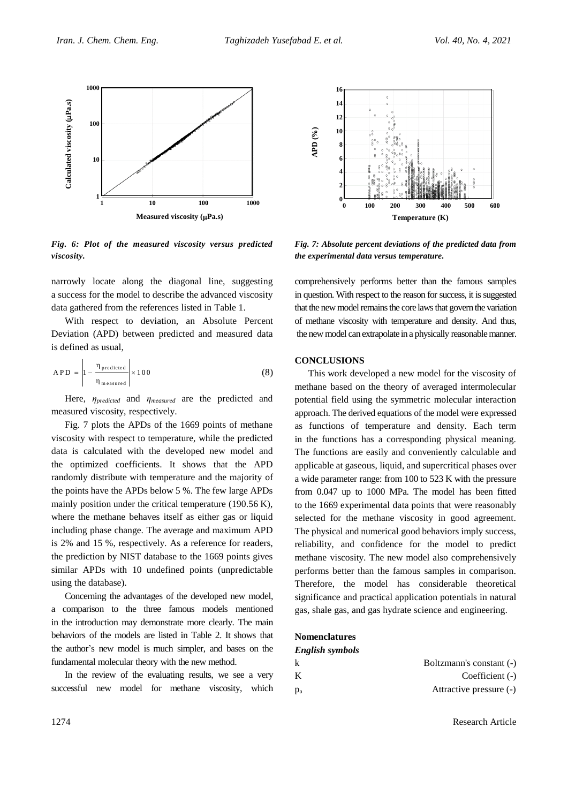

*Fig. 6: Plot of the measured viscosity versus predicted viscosity.*

narrowly locate along the diagonal line, suggesting a success for the model to describe the advanced viscosity data gathered from the references listed in Table 1.

With respect to deviation, an Absolute Percent Deviation (APD) between predicted and measured data is defined as usual,

$$
APD = \left| 1 - \frac{\eta_{predicted}}{\eta_{ measured}} \right| \times 100
$$
 (8)

Here, *ηpredicted* and *ηmeasured* are the predicted and measured viscosity, respectively.

Fig. 7 plots the APDs of the 1669 points of methane viscosity with respect to temperature, while the predicted data is calculated with the developed new model and the optimized coefficients. It shows that the APD randomly distribute with temperature and the majority of the points have the APDs below 5 %. The few large APDs mainly position under the critical temperature (190.56 K), where the methane behaves itself as either gas or liquid including phase change. The average and maximum APD is 2% and 15 %, respectively. As a reference for readers, the prediction by NIST database to the 1669 points gives similar APDs with 10 undefined points (unpredictable using the database).

Concerning the advantages of the developed new model, a comparison to the three famous models mentioned in the introduction may demonstrate more clearly. The main behaviors of the models are listed in Table 2. It shows that the author's new model is much simpler, and bases on the fundamental molecular theory with the new method.

In the review of the evaluating results, we see a very successful new model for methane viscosity, which



*Fig. 7: Absolute percent deviations of the predicted data from the experimental data versus temperature.*

comprehensively performs better than the famous samples in question. With respect to the reason for success, it is suggested that the new model remains the core laws that govern the variation of methane viscosity with temperature and density. And thus, the new model can extrapolate in a physically reasonable manner.

## **CONCLUSIONS**

This work developed a new model for the viscosity of methane based on the theory of averaged intermolecular potential field using the symmetric molecular interaction approach. The derived equations of the model were expressed as functions of temperature and density. Each term in the functions has a corresponding physical meaning. The functions are easily and conveniently calculable and applicable at gaseous, liquid, and supercritical phases over a wide parameter range: from 100 to 523 K with the pressure from 0.047 up to 1000 MPa. The model has been fitted to the 1669 experimental data points that were reasonably selected for the methane viscosity in good agreement. The physical and numerical good behaviors imply success, reliability, and confidence for the model to predict methane viscosity. The new model also comprehensively performs better than the famous samples in comparison. Therefore, the model has considerable theoretical significance and practical application potentials in natural gas, shale gas, and gas hydrate science and engineering.

## **Nomenclatures**

| English symbols |                          |
|-----------------|--------------------------|
| k               | Boltzmann's constant (-) |
| K               | Coefficient $(-)$        |
| $p_a$           | Attractive pressure (-)  |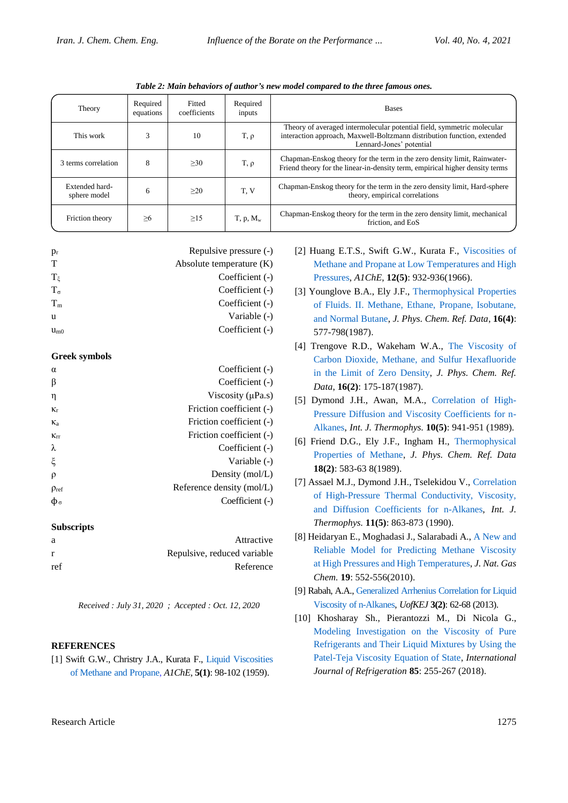| Theory                         | Required<br>equations | Fitted<br>coefficients | Required<br>inputs | <b>Bases</b>                                                                                                                                                                  |
|--------------------------------|-----------------------|------------------------|--------------------|-------------------------------------------------------------------------------------------------------------------------------------------------------------------------------|
| This work                      | 3                     | 10                     | $T, \rho$          | Theory of averaged intermolecular potential field, symmetric molecular<br>interaction approach, Maxwell-Boltzmann distribution function, extended<br>Lennard-Jones' potential |
| 3 terms correlation            | 8                     | >30                    | $T, \rho$          | Chapman-Enskog theory for the term in the zero density limit, Rainwater-<br>Friend theory for the linear-in-density term, empirical higher density terms                      |
| Extended hard-<br>sphere model | 6                     | >20                    | T.V                | Chapman-Enskog theory for the term in the zero density limit, Hard-sphere<br>theory, empirical correlations                                                                   |
| Friction theory                | >6                    | >15                    | $T, p, M_w$        | Chapman-Enskog theory for the term in the zero density limit, mechanical<br>friction, and EoS                                                                                 |

*Table 2: Main behaviors of author's new model compared to the three famous ones.*

| $p_{r}$      | Repulsive pressure (-)     |
|--------------|----------------------------|
| т            | Absolute temperature $(K)$ |
| $T_{\xi}$    | Coefficient (-)            |
| $T_{\sigma}$ | Coefficient (-)            |
| $T_m$        | Coefficient (-)            |
| u            | Variable (-)               |
| $u_{m0}$     | Coefficient (-)            |

## **Greek symbols**

| $\alpha$        | Coefficient (-)           |
|-----------------|---------------------------|
| β               | Coefficient (-)           |
| η               | Viscosity $(\mu Pa.s)$    |
| $K_r$           | Friction coefficient (-)  |
| $K_a$           | Friction coefficient (-)  |
| $K_{\text{IT}}$ | Friction coefficient (-)  |
| λ               | Coefficient (-)           |
| ξ               | Variable (-)              |
| ρ               | Density (mol/L)           |
| $\rho_{ref}$    | Reference density (mol/L) |
| φ。              | Coefficient (-)           |
|                 |                           |

# **Subscripts**

| a            | Attractive                  |
|--------------|-----------------------------|
| $\mathbf{r}$ | Repulsive, reduced variable |
| ref          | Reference                   |

*Received : July 31, 2020 ; Accepted : Oct. 12, 2020*

## **REFERENCES**

[1] Swift G.W., Christry J.A., Kurata F., [Liquid Viscosities](https://www.researchgate.net/publication/229753899_Liquid_viscosities_of_methane_and_propane)  [of Methane and Propane,](https://www.researchgate.net/publication/229753899_Liquid_viscosities_of_methane_and_propane) *A1ChE,* **5(1)**: 98-102 (1959).

- [2] Huang E.T.S., Swift G.W., Kurata F., [Viscosities of](https://www.researchgate.net/publication/230269996_viscosities_of_methane_and_propane_at_low_temperatures_and_high_pressures)  [Methane and Propane at Low Temperatures and High](https://www.researchgate.net/publication/230269996_viscosities_of_methane_and_propane_at_low_temperatures_and_high_pressures)  [Pressures,](https://www.researchgate.net/publication/230269996_viscosities_of_methane_and_propane_at_low_temperatures_and_high_pressures) *A1ChE*, **12(5)**: 932-936(1966).
- [3] Younglove B.A., Ely J.F., [Thermophysical Properties](https://aip.scitation.org/doi/abs/10.1063/1.555785)  [of Fluids. II. Methane, Ethane, Propane, Isobutane,](https://aip.scitation.org/doi/abs/10.1063/1.555785)  [and Normal Butane,](https://aip.scitation.org/doi/abs/10.1063/1.555785) *J. Phys. Chem. Ref. Data*, **16(4)**: 577-798(1987).
- [4] Trengove R.D., Wakeham W.A., [The Viscosity of](https://aip.scitation.org/doi/abs/10.1063/1.555777)  [Carbon Dioxide, Methane, and Sulfur Hexafluoride](https://aip.scitation.org/doi/abs/10.1063/1.555777)  [in the Limit of Zero Density,](https://aip.scitation.org/doi/abs/10.1063/1.555777) *J. Phys. Chem. Ref. Data*, **16(2)**: 175-187(1987).
- [5] Dymond J.H., Awan, M.A., [Correlation of High-](https://link.springer.com/article/10.1007/BF00503163)[Pressure Diffusion and Viscosity Coefficients for n-](https://link.springer.com/article/10.1007/BF00503163)[Alkanes,](https://link.springer.com/article/10.1007/BF00503163) *Int. J. Thermophys.* **10(5)**: 941-951 (1989).
- [6] Friend D.G., Ely J.F., Ingham H., [Thermophysical](https://www.researchgate.net/publication/252559702_Thermophysical_Properties_of_Methane?ev=prf_cit)  [Properties of Methane,](https://www.researchgate.net/publication/252559702_Thermophysical_Properties_of_Methane?ev=prf_cit) *J. Phys. Chem. Ref. Data* **18(2)**: 583-63 8(1989).
- [7] Assael M.J., Dymond J.H., Tselekidou V., [Correlation](https://link.springer.com/article/10.1007/BF00503579)  [of High-Pressure Thermal Conductivity, Viscosity,](https://link.springer.com/article/10.1007/BF00503579)  [and Diffusion Coefficients for n-Alkanes,](https://link.springer.com/article/10.1007/BF00503579) *Int. J. Thermophys.* **11(5)**: 863-873 (1990).
- [8] Heidaryan E., Moghadasi J., Salarabadi A.[, A New and](http://www.sciencedirect.com/science/article/pii/S1003995309601092)  [Reliable Model for Predicting Methane Viscosity](http://www.sciencedirect.com/science/article/pii/S1003995309601092)  [at High Pressures and High Temperatures,](http://www.sciencedirect.com/science/article/pii/S1003995309601092) *J. Nat. Gas Chem.* **19**: 552-556(2010).
- [9] Rabah, A.A.[, Generalized Arrhenius Correlation for Liquid](http://www.researchgate.net/publication/264884922)  [Viscosity of n-Alkanes,](http://www.researchgate.net/publication/264884922) *UofKEJ* **3(2)**: 62-68 (2013).
- [10] Khosharay Sh., Pierantozzi M., Di Nicola G., [Modeling Investigation on the Viscosity of Pure](http://www.researchgate.net/publication/320400970_Modeling_investigation_on_the_viscosity_of_pure_refrigerants_and_their_liquid_mixtures_by_using_the_patel-teja_viscosity_equation_of_state)  [Refrigerants and Their Liquid Mixtures by Using the](http://www.researchgate.net/publication/320400970_Modeling_investigation_on_the_viscosity_of_pure_refrigerants_and_their_liquid_mixtures_by_using_the_patel-teja_viscosity_equation_of_state)  [Patel-Teja Viscosity Equation of State,](http://www.researchgate.net/publication/320400970_Modeling_investigation_on_the_viscosity_of_pure_refrigerants_and_their_liquid_mixtures_by_using_the_patel-teja_viscosity_equation_of_state) *International Journal of Refrigeration* **85**: 255-267 (2018).